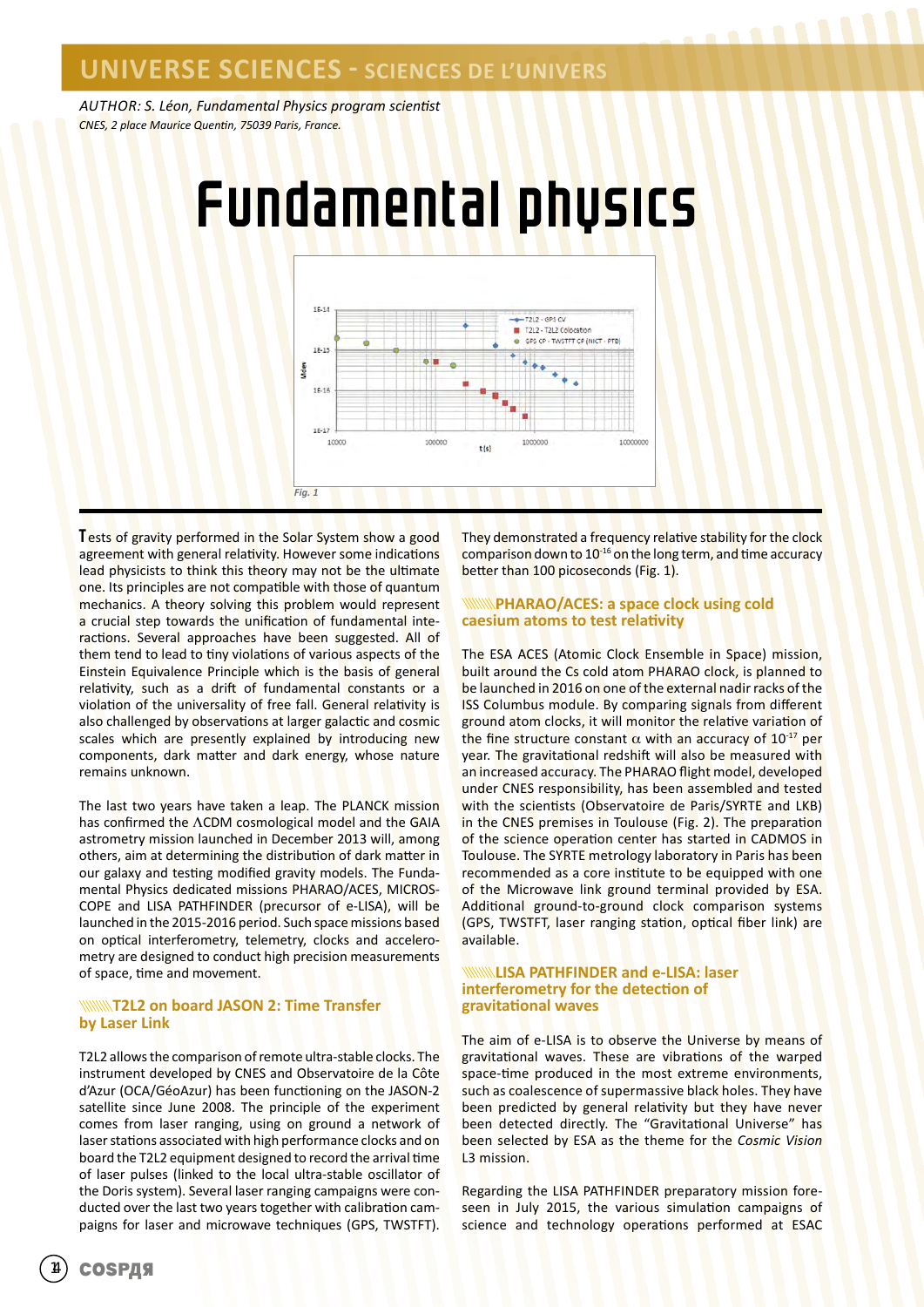*AUTHOR: S. Léon, Fundamental Physics program scientist CNES, 2 place Maurice Quentin, 75039 Paris, France.*



Tests of gravity performed in the Solar System show a good agreement with general relativity. However some indications lead physicists to think this theory may not be the ultimate one. Its principles are not compatible with those of quantum mechanics. A theory solving this problem would represent a crucial step towards the unification of fundamental interactions. Several approaches have been suggested. All of them tend to lead to tiny violations of various aspects of the Einstein Equivalence Principle which is the basis of general relativity, such as a drift of fundamental constants or a violation of the universality of free fall. General relativity is also challenged by observations at larger galactic and cosmic scales which are presently explained by introducing new components, dark matter and dark energy, whose nature remains unknown.

The last two years have taken a leap. The PLANCK mission has confirmed the ΛCDM cosmological model and the GAIA astrometry mission launched in December 2013 will, among others, aim at determining the distribution of dark matter in our galaxy and testing modified gravity models. The Fundamental Physics dedicated missions PHARAO/ACES, MICROS-COPE and LISA PATHFINDER (precursor of e-LISA), will be launched in the 2015-2016 period. Such space missions based on optical interferometry, telemetry, clocks and accelerometry are designed to conduct high precision measurements of space, time and movement.

### **WINNIFIZER on board JASON 2: Time Transfer by Laser Link**

T2L2 allows the comparison of remote ultra-stable clocks. The instrument developed by CNES and Observatoire de la Côte d'Azur (OCA/GéoAzur) has been functioning on the JASON-2 satellite since June 2008. The principle of the experiment comes from laser ranging, using on ground a network of laser stations associated with high performance clocks and on board the T2L2 equipment designed to record the arrival time of laser pulses (linked to the local ultra-stable oscillator of the Doris system). Several laser ranging campaigns were conducted over the last two years together with calibration campaigns for laser and microwave techniques (GPS, TWSTFT).

They demonstrated a frequency relative stability for the clock comparison down to 10<sup>-16</sup> on the long term, and time accuracy better than 100 picoseconds (Fig. 1).

### **PHARAO/ACES: a space clock using cold caesium atoms to test relativity**

The ESA ACES (Atomic Clock Ensemble in Space) mission, built around the Cs cold atom PHARAO clock, is planned to be launched in 2016 on one of the external nadir racks of the ISS Columbus module. By comparing signals from different ground atom clocks, it will monitor the relative variation of the fine structure constant  $\alpha$  with an accuracy of 10<sup>-17</sup> per year. The gravitational redshift will also be measured with an increased accuracy. The PHARAO flight model, developed under CNES responsibility, has been assembled and tested with the scientists (Observatoire de Paris/SYRTE and LKB) in the CNES premises in Toulouse (Fig. 2). The preparation of the science operation center has started in CADMOS in Toulouse. The SYRTE metrology laboratory in Paris has been recommended as a core institute to be equipped with one of the Microwave link ground terminal provided by ESA. Additional ground-to-ground clock comparison systems (GPS, TWSTFT, laser ranging station, optical fiber link) are available.

### **LISA PATHFINDER and e-LISA: laser interferometry for the detection of gravitational waves**

The aim of e-LISA is to observe the Universe by means of gravitational waves. These are vibrations of the warped space-time produced in the most extreme environments, such as coalescence of supermassive black holes. They have been predicted by general relativity but they have never been detected directly. The "Gravitational Universe" has been selected by ESA as the theme for the *Cosmic Vision* L3 mission.

Regarding the LISA PATHFINDER preparatory mission foreseen in July 2015, the various simulation campaigns of science and technology operations performed at ESAC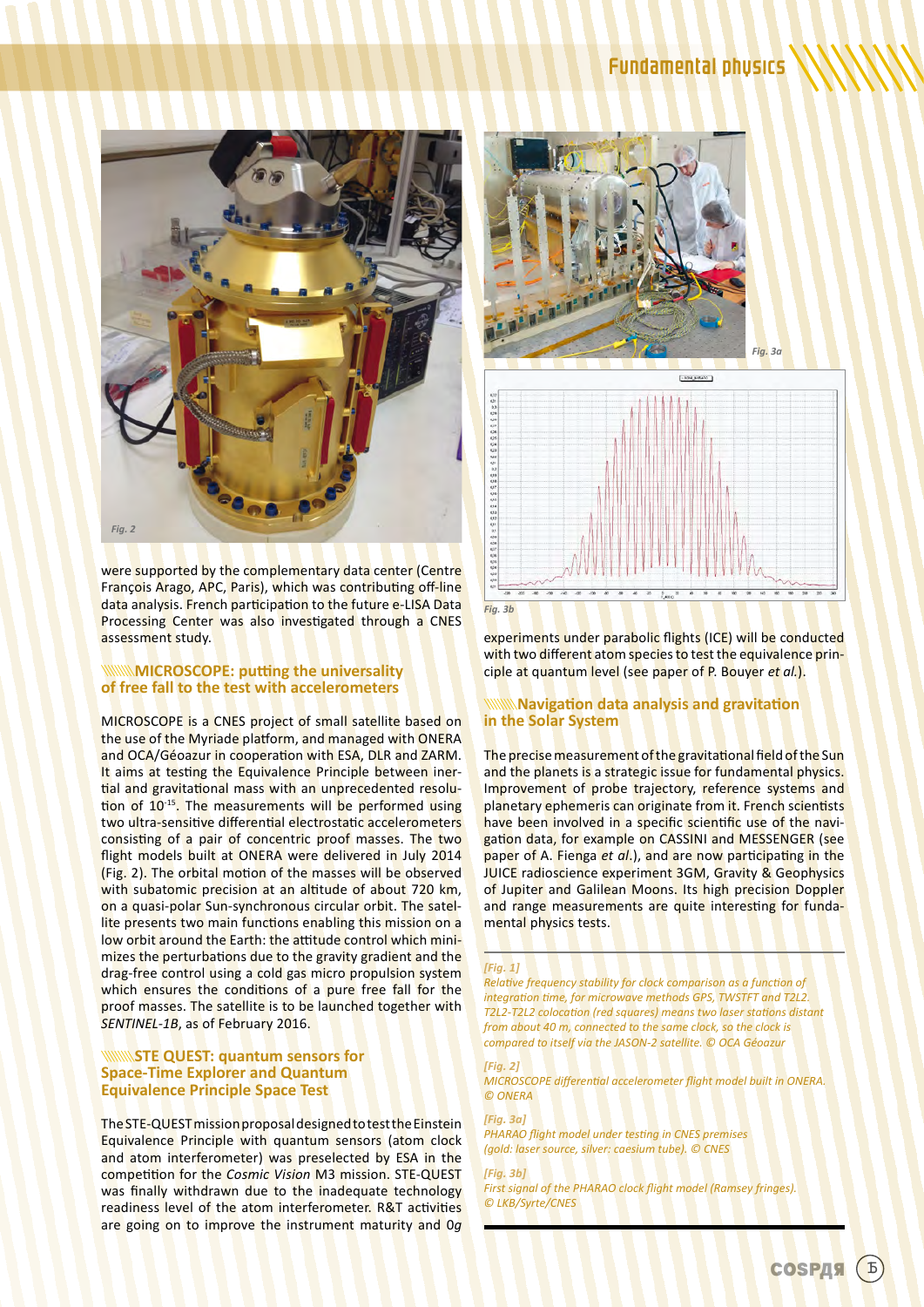

were supported by the complementary data center (Centre François Arago, APC, Paris), which was contributing off-line data analysis. French participation to the future e-LISA Data Processing Center was also investigated through a CNES assessment study.

### **MICROSCOPE: putting the universality of free fall to the test with accelerometers**

MICROSCOPE is a CNES project of small satellite based on the use of the Myriade platform, and managed with ONERA and OCA/Géoazur in cooperation with ESA, DLR and ZARM. It aims at testing the Equivalence Principle between inertial and gravitational mass with an unprecedented resolution of 10<sup>-15</sup>. The measurements will be performed using two ultra-sensitive differential electrostatic accelerometers consisting of a pair of concentric proof masses. The two flight models built at ONERA were delivered in July 2014 (Fig. 2). The orbital motion of the masses will be observed with subatomic precision at an altitude of about 720 km, on a quasi-polar Sun-synchronous circular orbit. The satellite presents two main functions enabling this mission on a low orbit around the Earth: the attitude control which minimizes the perturbations due to the gravity gradient and the drag-free control using a cold gas micro propulsion system which ensures the conditions of a pure free fall for the proof masses. The satellite is to be launched together with *SENTINEL-1B*, as of February 2016.

### **STE QUEST: quantum sensors for Space-Time Explorer and Quantum Equivalence Principle Space Test**

The STE-QUEST mission proposal designed to test the Einstein Equivalence Principle with quantum sensors (atom clock and atom interferometer) was preselected by ESA in the competition for the *Cosmic Vision* M3 mission. STE-QUEST was finally withdrawn due to the inadequate technology readiness level of the atom interferometer. R&T activities are going on to improve the instrument maturity and 0*g*



experiments under parabolic flights (ICE) will be conducted with two different atom species to test the equivalence principle at quantum level (see paper of P. Bouyer *et al.*).

### **Navigation data analysis and gravitation in the Solar System**

The precise measurement of the gravitational field of the Sun and the planets is a strategic issue for fundamental physics. Improvement of probe trajectory, reference systems and planetary ephemeris can originate from it. French scientists have been involved in a specific scientific use of the navigation data, for example on CASSINI and MESSENGER (see paper of A. Fienga *et al*.), and are now participating in the JUICE radioscience experiment 3GM, Gravity & Geophysics of Jupiter and Galilean Moons. Its high precision Doppler and range measurements are quite interesting for fundamental physics tests.

### *[Fig. 1]*

*Relative frequency stability for clock comparison as a function of integration time, for microwave methods GPS, TWSTFT and T2L2. T2L2-T2L2 colocation (red squares) means two laser stations distant from about 40 m, connected to the same clock, so the clock is compared to itself via the JASON-2 satellite. © OCA Géoazur* 

*[Fig. 2] MICROSCOPE differential accelerometer flight model built in ONERA. © ONERA*

*[Fig. 3a] PHARAO flight model under testing in CNES premises (gold: laser source, silver: caesium tube). © CNES*

*[Fig. 3b] First signal of the PHARAO clock flight model (Ramsey fringes). © LKB/Syrte/CNES*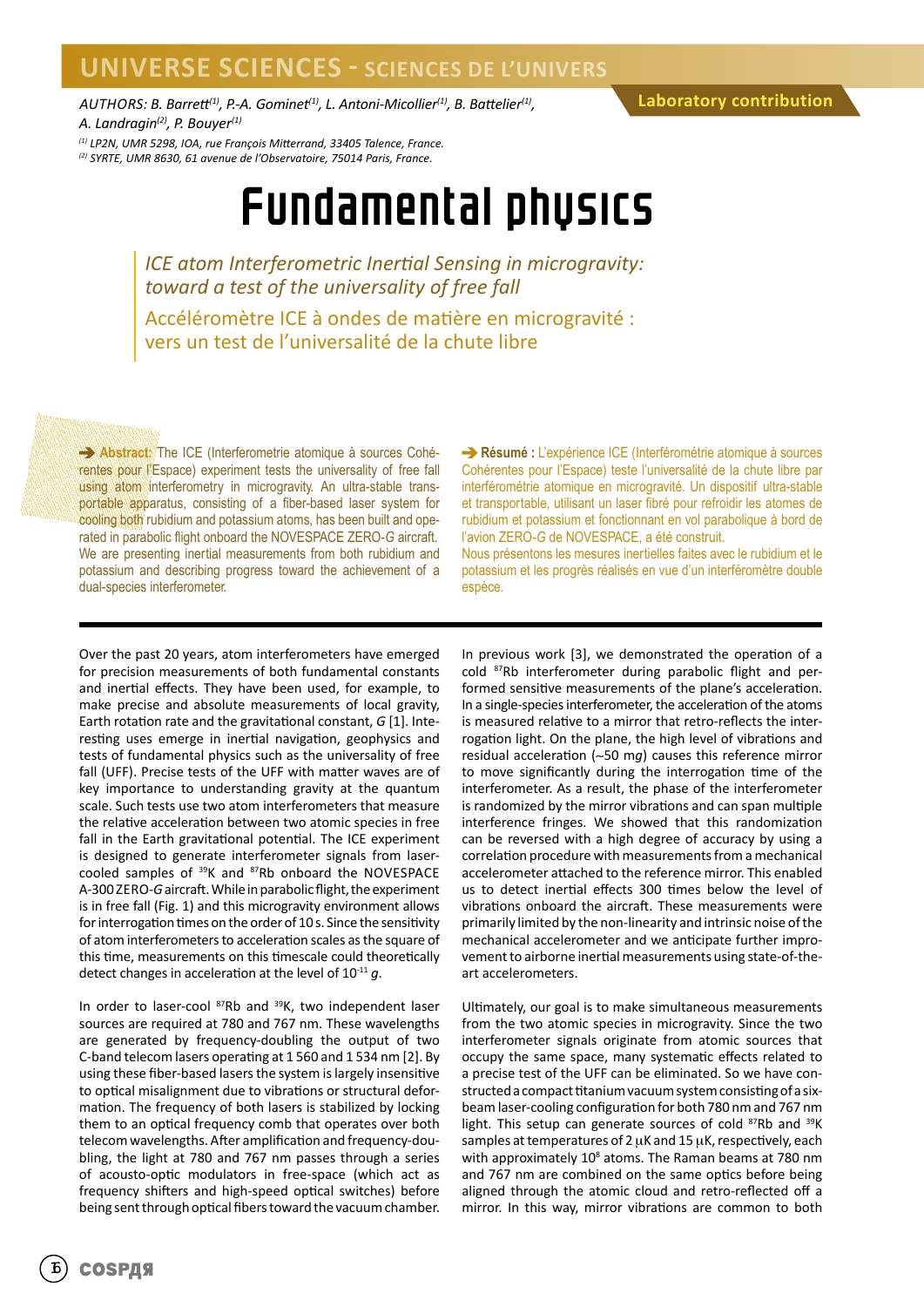### **UNIVERSE SCIENCES - SCIENCES DE L'UNIVERS**

*AUTHORS: B. Barrett(1), P.-A. Gominet(1), L. Antoni-Micollier(1), B. Battelier(1), A. Landragin(2), P. Bouyer(1)*

### **Laboratory contribution**

*(1) LP2N, UMR 5298, IOA, rue François Mitterrand, 33405 Talence, France. (2) SYRTE, UMR 8630, 61 avenue de l'Observatoire, 75014 Paris, France.*

## Fundamental physics

*ICE atom Interferometric Inertial Sensing in microgravity: toward a test of the universality of free fall*

Accéléromètre ICE à ondes de matière en microgravité : vers un test de l'universalité de la chute libre

**Abstract:** The ICE (Interferometrie atomique à sources Cohérentes pour l'Espace) experiment tests the universality of free fall using atom interferometry in microgravity. An ultra-stable transportable apparatus, consisting of a fiber-based laser system for cooling both rubidium and potassium atoms, has been built and operated in parabolic flight onboard the NOVESPACE ZERO-*G* aircraft. We are presenting inertial measurements from both rubidium and potassium and describing progress toward the achievement of a dual-species interferometer.

**Résumé :** L'expérience ICE (Interférométrie atomique à sources Cohérentes pour l'Espace) teste l'universalité de la chute libre par interférométrie atomique en microgravité. Un dispositif ultra-stable et transportable, utilisant un laser fibré pour refroidir les atomes de rubidium et potassium et fonctionnant en vol parabolique à bord de l'avion ZERO-*G* de NOVESPACE, a été construit.

Nous présentons les mesures inertielles faites avec le rubidium et le potassium et les progrès réalisés en vue d'un interféromètre double espèce.

Over the past 20 years, atom interferometers have emerged for precision measurements of both fundamental constants and inertial effects. They have been used, for example, to make precise and absolute measurements of local gravity, Earth rotation rate and the gravitational constant, *G* [1]. Interesting uses emerge in inertial navigation, geophysics and tests of fundamental physics such as the universality of free fall (UFF). Precise tests of the UFF with matter waves are of key importance to understanding gravity at the quantum scale. Such tests use two atom interferometers that measure the relative acceleration between two atomic species in free fall in the Earth gravitational potential. The ICE experiment is designed to generate interferometer signals from lasercooled samples of <sup>39</sup>K and <sup>87</sup>Rb onboard the NOVESPACE A-300 ZERO-*G* aircraft. While in parabolic flight, the experiment is in free fall (Fig. 1) and this microgravity environment allows for interrogation times on the order of 10 s. Since the sensitivity of atom interferometers to acceleration scales as the square of this time, measurements on this timescale could theoretically detect changes in acceleration at the level of 10-11 *g*.

In order to laser-cool 87Rb and 39K, two independent laser sources are required at 780 and 767 nm. These wavelengths are generated by frequency-doubling the output of two C-band telecom lasers operating at 1 560 and 1 534 nm [2]. By using these fiber-based lasers the system is largely insensitive to optical misalignment due to vibrations or structural deformation. The frequency of both lasers is stabilized by locking them to an optical frequency comb that operates over both telecom wavelengths. After amplification and frequency-doubling, the light at 780 and 767 nm passes through a series of acousto-optic modulators in free-space (which act as frequency shifters and high-speed optical switches) before being sent through optical fibers toward the vacuum chamber.

In previous work [3], we demonstrated the operation of a cold 87Rb interferometer during parabolic flight and performed sensitive measurements of the plane's acceleration. In a single-species interferometer, the acceleration of the atoms is measured relative to a mirror that retro-reflects the interrogation light. On the plane, the high level of vibrations and residual acceleration (∼50 m*g*) causes this reference mirror to move significantly during the interrogation time of the interferometer. As a result, the phase of the interferometer is randomized by the mirror vibrations and can span multiple interference fringes. We showed that this randomization can be reversed with a high degree of accuracy by using a correlation procedure with measurements from a mechanical accelerometer attached to the reference mirror. This enabled us to detect inertial effects 300 times below the level of vibrations onboard the aircraft. These measurements were primarily limited by the non-linearity and intrinsic noise of the mechanical accelerometer and we anticipate further improvement to airborne inertial measurements using state-of-theart accelerometers.

Ultimately, our goal is to make simultaneous measurements from the two atomic species in microgravity. Since the two interferometer signals originate from atomic sources that occupy the same space, many systematic effects related to a precise test of the UFF can be eliminated. So we have constructed a compact titanium vacuum system consisting of a sixbeam laser-cooling configuration for both 780 nm and 767 nm light. This setup can generate sources of cold <sup>87</sup>Rb and <sup>39</sup>K samples at temperatures of 2 μK and 15 µK, respectively, each with approximately  $10^8$  atoms. The Raman beams at 780 nm and 767 nm are combined on the same optics before being aligned through the atomic cloud and retro-reflected off a mirror. In this way, mirror vibrations are common to both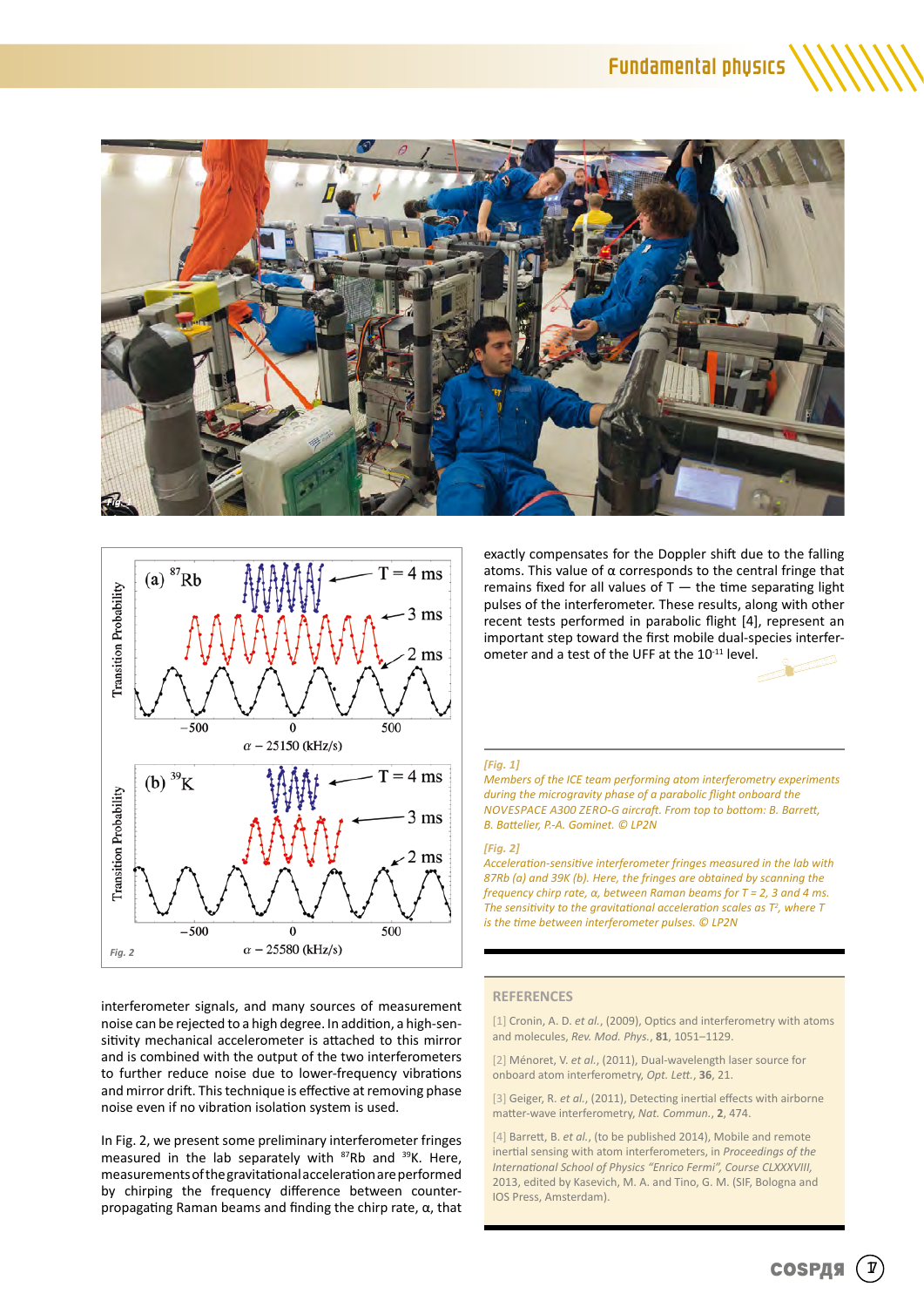



interferometer signals, and many sources of measurement noise can be rejected to a high degree. In addition, a high-sensitivity mechanical accelerometer is attached to this mirror and is combined with the output of the two interferometers to further reduce noise due to lower-frequency vibrations and mirror drift. This technique is effective at removing phase noise even if no vibration isolation system is used.

In Fig. 2, we present some preliminary interferometer fringes measured in the lab separately with <sup>87</sup>Rb and <sup>39</sup>K. Here, measurements of the gravitational acceleration are performed by chirping the frequency difference between counterpropagating Raman beams and finding the chirp rate, α, that exactly compensates for the Doppler shift due to the falling atoms. This value of  $\alpha$  corresponds to the central fringe that remains fixed for all values of  $T -$  the time separating light pulses of the interferometer. These results, along with other recent tests performed in parabolic flight [4], represent an important step toward the first mobile dual-species interferometer and a test of the UFF at the 10-11 level.

### *[Fig. 1]*

*Members of the ICE team performing atom interferometry experiments during the microgravity phase of a parabolic flight onboard the NOVESPACE A300 ZERO-G aircraft. From top to bottom: B. Barrett, B. Battelier, P.-A. Gominet. © LP2N*

#### *[Fig. 2]*

*Acceleration-sensitive interferometer fringes measured in the lab with 87Rb (a) and 39K (b). Here, the fringes are obtained by scanning the frequency chirp rate, α, between Raman beams for T = 2, 3 and 4 ms.*  The sensitivity to the gravitational acceleration scales as  $T^2$ , where T *is the time between interferometer pulses. © LP2N*

### **REFERENCES**

[1] Cronin, A. D. *et al.*, (2009), Optics and interferometry with atoms and molecules, *Rev. Mod. Phys.*, **81**, 1051–1129.

[2] Ménoret, V. *et al.*, (2011), Dual-wavelength laser source for onboard atom interferometry, *Opt. Lett.*, **36**, 21.

[3] Geiger, R. *et al.*, (2011), Detecting inertial effects with airborne matter-wave interferometry, *Nat. Commun.*, **2**, 474.

[4] Barrett, B. *et al.*, (to be published 2014), Mobile and remote inertial sensing with atom interferometers, in *Proceedings of the International School of Physics "Enrico Fermi", Course CLXXXVIII,* 2013, edited by Kasevich, M. A. and Tino, G. M. (SIF, Bologna and IOS Press, Amsterdam).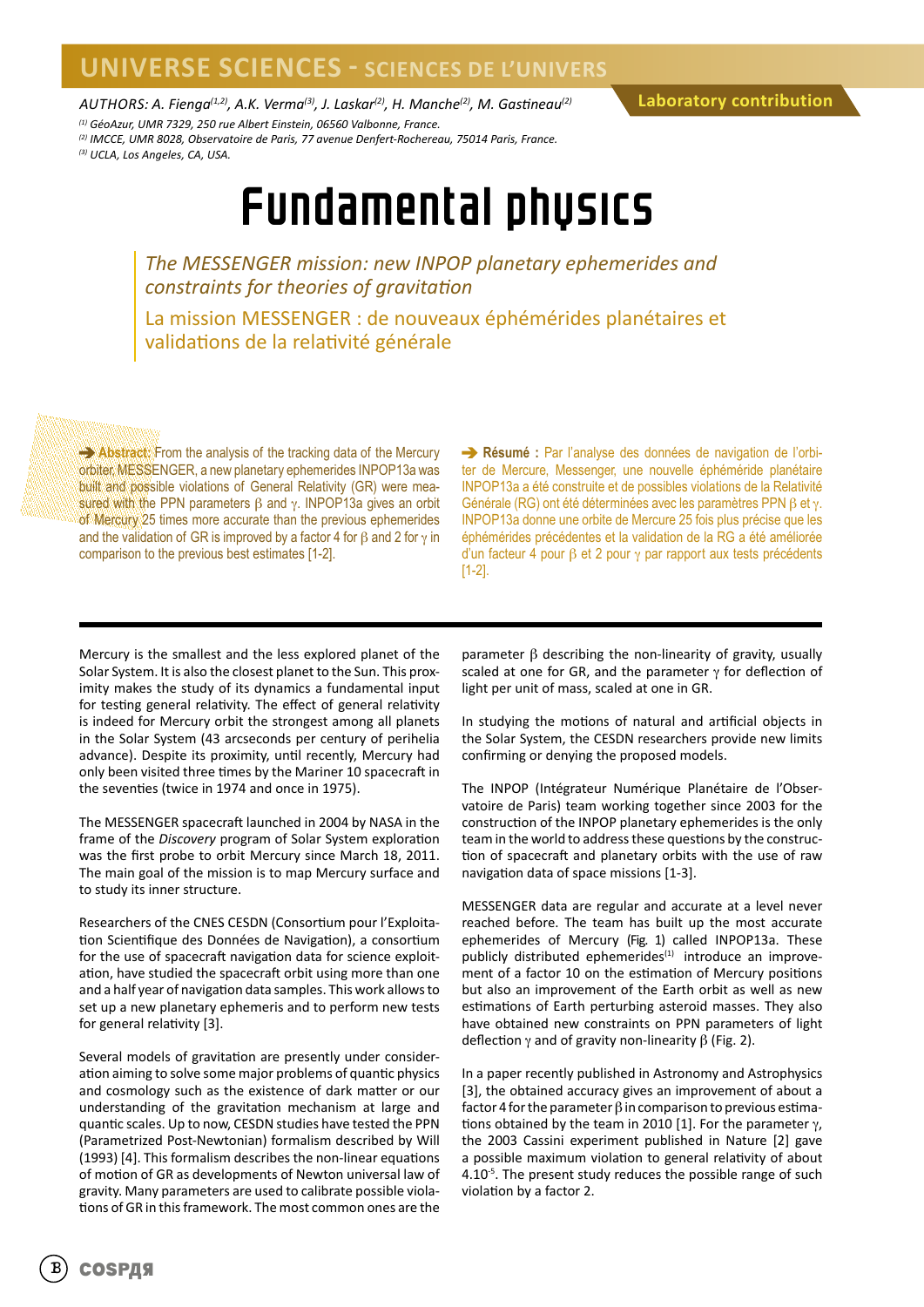## **UNIVERSE SCIENCES - SCIENCES DE L'UNIVERS**

*AUTHORS: A. Fienga(1,2), A.K. Verma(3), J. Laskar(2), H. Manche(2), M. Gastineau(2)*

*(1) GéoAzur, UMR 7329, 250 rue Albert Einstein, 06560 Valbonne, France.*

**Laboratory contribution**

*(2) IMCCE, UMR 8028, Observatoire de Paris, 77 avenue Denfert-Rochereau, 75014 Paris, France.*

*(3) UCLA, Los Angeles, CA, USA.*

# Fundamental physics

*The MESSENGER mission: new INPOP planetary ephemerides and constraints for theories of gravitation*

La mission MESSENGER : de nouveaux éphémérides planétaires et validations de la relativité générale

**Abstract:** From the analysis of the tracking data of the Mercury orbiter, MESSENGER, a new planetary ephemerides INPOP13a was built and possible violations of General Relativity (GR) were measured with the PPN parameters  $β$  and  $γ$ . INPOP13a gives an orbit of Mercury 25 times more accurate than the previous ephemerides and the validation of GR is improved by a factor 4 for  $\beta$  and 2 for  $\gamma$  in comparison to the previous best estimates [1-2].

**Résumé :** Par l'analyse des données de navigation de l'orbiter de Mercure, Messenger, une nouvelle éphéméride planétaire INPOP13a a été construite et de possibles violations de la Relativité Générale (RG) ont été déterminées avec les paramètres PPN β et γ. INPOP13a donne une orbite de Mercure 25 fois plus précise que les éphémérides précédentes et la validation de la RG a été améliorée d'un facteur 4 pour β et 2 pour γ par rapport aux tests précédents [1-2].

Mercury is the smallest and the less explored planet of the Solar System. It is also the closest planet to the Sun. This proximity makes the study of its dynamics a fundamental input for testing general relativity. The effect of general relativity is indeed for Mercury orbit the strongest among all planets in the Solar System (43 arcseconds per century of perihelia advance). Despite its proximity, until recently, Mercury had only been visited three times by the Mariner 10 spacecraft in the seventies (twice in 1974 and once in 1975).

The MESSENGER spacecraft launched in 2004 by NASA in the frame of the *Discovery* program of Solar System exploration was the first probe to orbit Mercury since March 18, 2011. The main goal of the mission is to map Mercury surface and to study its inner structure.

Researchers of the CNES CESDN (Consortium pour l'Exploitation Scientifique des Données de Navigation), a consortium for the use of spacecraft navigation data for science exploitation, have studied the spacecraft orbit using more than one and a half year of navigation data samples. This work allows to set up a new planetary ephemeris and to perform new tests for general relativity [3].

Several models of gravitation are presently under consideration aiming to solve some major problems of quantic physics and cosmology such as the existence of dark matter or our understanding of the gravitation mechanism at large and quantic scales. Up to now, CESDN studies have tested the PPN (Parametrized Post-Newtonian) formalism described by Will (1993) [4]. This formalism describes the non-linear equations of motion of GR as developments of Newton universal law of gravity. Many parameters are used to calibrate possible violations of GR in this framework. The most common ones are the

parameter β describing the non-linearity of gravity, usually scaled at one for GR, and the parameter  $\gamma$  for deflection of light per unit of mass, scaled at one in GR.

In studying the motions of natural and artificial objects in the Solar System, the CESDN researchers provide new limits confirming or denying the proposed models.

The INPOP (Intégrateur Numérique Planétaire de l'Observatoire de Paris) team working together since 2003 for the construction of the INPOP planetary ephemerides is the only team in the world to address these questions by the construction of spacecraft and planetary orbits with the use of raw navigation data of space missions [1-3].

MESSENGER data are regular and accurate at a level never reached before. The team has built up the most accurate ephemerides of Mercury (Fig. 1) called INPOP13a. These publicly distributed ephemerides $(1)$  introduce an improvement of a factor 10 on the estimation of Mercury positions but also an improvement of the Earth orbit as well as new estimations of Earth perturbing asteroid masses. They also have obtained new constraints on PPN parameters of light deflection γ and of gravity non-linearity  $β$  (Fig. 2).

In a paper recently published in Astronomy and Astrophysics [3], the obtained accuracy gives an improvement of about a factor 4 for the parameter  $\beta$  in comparison to previous estimations obtained by the team in 2010 [1]. For the parameter γ, the 2003 Cassini experiment published in Nature [2] gave a possible maximum violation to general relativity of about 4.10<sup>-5</sup>. The present study reduces the possible range of such violation by a factor 2.